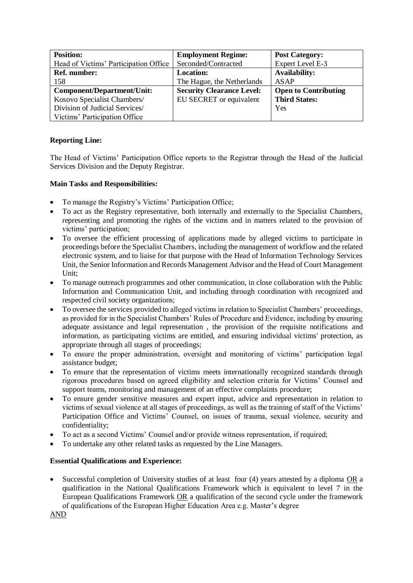| <b>Position:</b>                      | <b>Employment Regime:</b>        | <b>Post Category:</b>       |
|---------------------------------------|----------------------------------|-----------------------------|
| Head of Victims' Participation Office | Seconded/Contracted              | Expert Level E-3            |
| <b>Ref.</b> number:                   | <b>Location:</b>                 | <b>Availability:</b>        |
| 158                                   | The Hague, the Netherlands       | ASAP                        |
| Component/Department/Unit:            | <b>Security Clearance Level:</b> | <b>Open to Contributing</b> |
| Kosovo Specialist Chambers/           | EU SECRET or equivalent          | <b>Third States:</b>        |
| Division of Judicial Services/        |                                  | Yes                         |
| Victims' Participation Office         |                                  |                             |

## **Reporting Line:**

The Head of Victims' Participation Office reports to the Registrar through the Head of the Judicial Services Division and the Deputy Registrar.

## **Main Tasks and Responsibilities:**

- To manage the Registry's Victims' Participation Office;
- To act as the Registry representative, both internally and externally to the Specialist Chambers, representing and promoting the rights of the victims and in matters related to the provision of victims' participation;
- To oversee the efficient processing of applications made by alleged victims to participate in proceedings before the Specialist Chambers, including the management of workflow and the related electronic system, and to liaise for that purpose with the Head of Information Technology Services Unit, the Senior Information and Records Management Advisor and the Head of Court Management Unit;
- To manage outreach programmes and other communication, in close collaboration with the Public Information and Communication Unit, and including through coordination with recognized and respected civil society organizations;
- To oversee the services provided to alleged victims in relation to Specialist Chambers' proceedings, as provided for in the Specialist Chambers' Rules of Procedure and Evidence, including by ensuring adequate assistance and legal representation , the provision of the requisite notifications and information, as participating victims are entitled, and ensuring individual victims' protection, as appropriate through all stages of proceedings;
- To ensure the proper administration, oversight and monitoring of victims' participation legal assistance budget;
- To ensure that the representation of victims meets internationally recognized standards through rigorous procedures based on agreed eligibility and selection criteria for Victims' Counsel and support teams, monitoring and management of an effective complaints procedure;
- To ensure gender sensitive measures and expert input, advice and representation in relation to victims of sexual violence at all stages of proceedings, as well as the training of staff of the Victims' Participation Office and Victims' Counsel, on issues of trauma, sexual violence, security and confidentiality;
- To act as a second Victims' Counsel and/or provide witness representation, if required;
- To undertake any other related tasks as requested by the Line Managers.

## **Essential Qualifications and Experience:**

Successful completion of University studies of at least four (4) years attested by a diploma OR a qualification in the National Qualifications Framework which is equivalent to level 7 in the European Qualifications Framework OR a qualification of the second cycle under the framework of qualifications of the European Higher Education Area e.g. Master's degree

AND